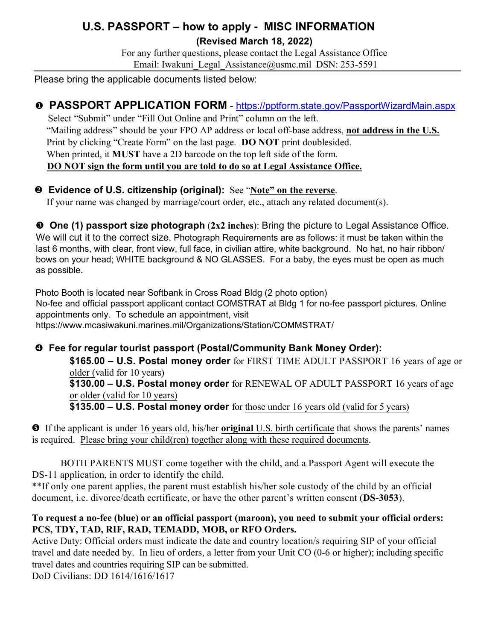# **U.S. PASSPORT – how to apply - MISC INFORMATION**

**(Revised March 18, 2022)**

For any further questions, please contact the Legal Assistance Office Email: Iwakuni Legal Assistance@usmc.mil DSN: 253-5591

Please bring the applicable documents listed below:

## **PASSPORT APPLICATION FORM** - https://pptform.state.gov/PassportWizardMain.aspx

Select "Submit" under "Fill Out Online and Print" column on the left. "Mailing address" should be your FPO AP address or local off-base address, **not address in the U.S.** Print by clicking "Create Form" on the last page. **DO NOT** print doublesided. When printed, it **MUST** have a 2D barcode on the top left side of the form. **DO NOT sign the form until you are told to do so at Legal Assistance Office.**

### **Evidence of U.S. citizenship (original):** See "**Note" on the reverse**.

If your name was changed by marriage/court order, etc., attach any related document(s).

 **One (1) passport size photograph** (**2x2 inches**): Bring the picture to Legal Assistance Office. We will cut it to the correct size. Photograph Requirements are as follows: it must be taken within the last 6 months, with clear, front view, full face, in civilian attire, white background. No hat, no hair ribbon/ bows on your head; WHITE background & NO GLASSES. For a baby, the eyes must be open as much as possible.

Photo Booth is located near Softbank in Cross Road Bldg (2 photo option) No-fee and official passport applicant contact COMSTRAT at Bldg 1 for no-fee passport pictures. Online appointments only. To schedule an appointment, visit https://www.mcasiwakuni.marines.mil/Organizations/Station/COMMSTRAT/

# **Fee for regular tourist passport (Postal/Community Bank Money Order):**

**\$165.00 – U.S. Postal money order** for FIRST TIME ADULT PASSPORT 16 years of age or older (valid for 10 years)

**\$130.00 – U.S. Postal money order** for RENEWAL OF ADULT PASSPORT 16 years of age or older (valid for 10 years)

**\$135.00 – U.S. Postal money order** for those under 16 years old (valid for 5 years)

 If the applicant is under 16 years old, his/her **original** U.S. birth certificate that shows the parents' names is required. Please bring your child(ren) together along with these required documents.

BOTH PARENTS MUST come together with the child, and a Passport Agent will execute the DS-11 application, in order to identify the child.

\*\*If only one parent applies, the parent must establish his/her sole custody of the child by an official document, i.e. divorce/death certificate, or have the other parent's written consent (**DS-3053**).

#### **To request a no-fee (blue) or an official passport (maroon), you need to submit your official orders: PCS, TDY, TAD, RIF, RAD, TEMADD, MOB, or RFO Orders.**

Active Duty: Official orders must indicate the date and country location/s requiring SIP of your official travel and date needed by. In lieu of orders, a letter from your Unit CO (0-6 or higher); including specific travel dates and countries requiring SIP can be submitted.

DoD Civilians: DD 1614/1616/1617